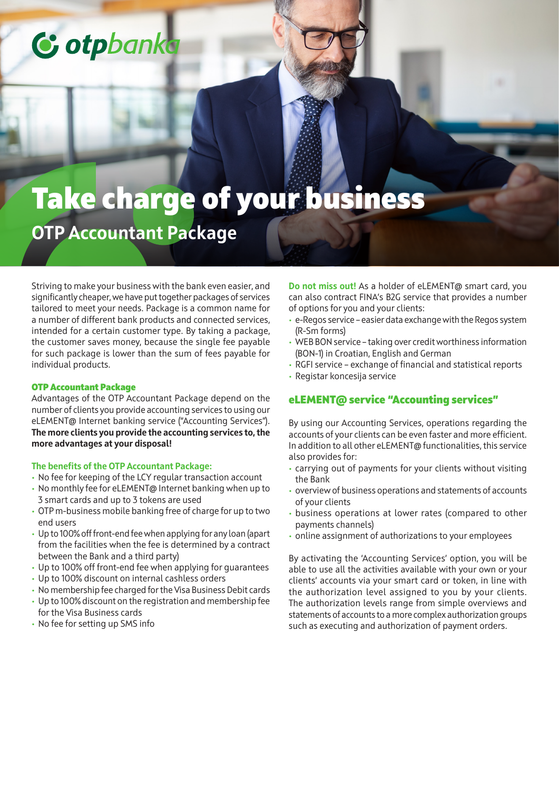# C otpbank

## Take charge of your business **OTP Accountant Package**

Striving to make your business with the bank even easier, and significantly cheaper, we have put together packages of services tailored to meet your needs. Package is a common name for a number of different bank products and connected services, intended for a certain customer type. By taking a package, the customer saves money, because the single fee payable for such package is lower than the sum of fees payable for individual products.

#### OTP Accountant Package

Advantages of the OTP Accountant Package depend on the number of clients you provide accounting services to using our eLEMENT@ Internet banking service ("Accounting Services"). **The more clients you provide the accounting services to, the more advantages at your disposal!**

#### **The benefits of the OTP Accountant Package:**

- No fee for keeping of the LCY regular transaction account
- No monthly fee for eLEMENT@ Internet banking when up to 3 smart cards and up to 3 tokens are used
- OTP m-business mobile banking free of charge for up to two end users
- Up to 100% off front-end fee when applying for any loan (apart from the facilities when the fee is determined by a contract between the Bank and a third party)
- Up to 100% off front-end fee when applying for guarantees
- Up to 100% discount on internal cashless orders
- No membership fee charged for the Visa Business Debit cards • Up to 100% discount on the registration and membership fee
- for the Visa Business cards
- No fee for setting up SMS info

**Do not miss out!** As a holder of eLEMENT@ smart card, you can also contract FINA's B2G service that provides a number of options for you and your clients:

- e-Regos service easier data exchange with the Regos system (R-Sm forms)
- WEB BON service taking over credit worthiness information (BON-1) in Croatian, English and German
- RGFI service exchange of financial and statistical reports
- Registar koncesija service

### eLEMENT@ service "Accounting services"

By using our Accounting Services, operations regarding the accounts of your clients can be even faster and more efficient. In addition to all other eLEMENT@ functionalities, this service also provides for:

- carrying out of payments for your clients without visiting the Bank
- overview of business operations and statements of accounts of your clients
- business operations at lower rates (compared to other payments channels)
- online assignment of authorizations to your employees

By activating the 'Accounting Services' option, you will be able to use all the activities available with your own or your clients' accounts via your smart card or token, in line with the authorization level assigned to you by your clients. The authorization levels range from simple overviews and statements of accounts to a more complex authorization groups such as executing and authorization of payment orders.